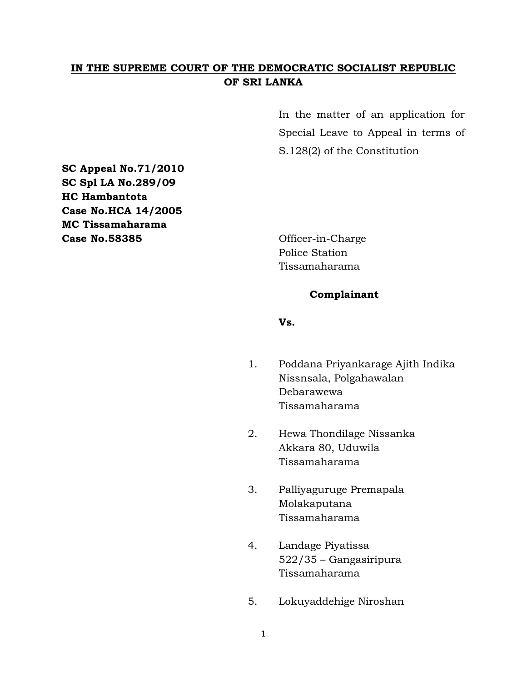### **IN THE SUPREME COURT OF THE DEMOCRATIC SOCIALIST REPUBLIC OF SRI LANKA**

In the matter of an application for Special Leave to Appeal in terms of S.128(2) of the Constitution

**SC Appeal No.71/2010 SC Spl LA No.289/09 HC Hambantota Case No.HCA 14/2005 MC Tissamaharama Case No.58385** Officer-in-Charge

Police Station Tissamaharama

### **Complainant**

**Vs.**

- 1. Poddana Priyankarage Ajith Indika Nissnsala, Polgahawalan Debarawewa Tissamaharama
- 2. Hewa Thondilage Nissanka Akkara 80, Uduwila Tissamaharama
- 3. Palliyaguruge Premapala Molakaputana Tissamaharama
- 4. Landage Piyatissa 522/35 – Gangasiripura Tissamaharama
- 5. Lokuyaddehige Niroshan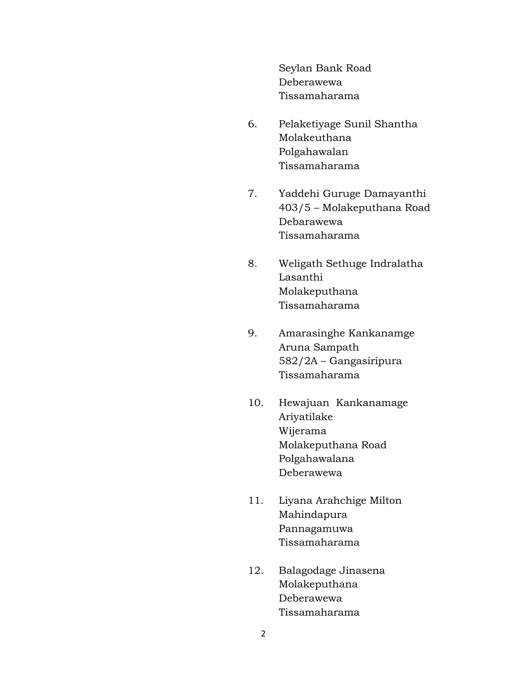Seylan Bank Road Deberawewa Tissamaharama

- 6. Pelaketiyage Sunil Shantha Molakeuthana Polgahawalan Tissamaharama
- 7. Yaddehi Guruge Damayanthi 403/5 – Molakeputhana Road Debarawewa Tissamaharama
- 8. Weligath Sethuge Indralatha Lasanthi Molakeputhana Tissamaharama
- 9. Amarasinghe Kankanamge Aruna Sampath 582/2A – Gangasiripura Tissamaharama
- 10. Hewajuan Kankanamage Ariyatilake Wijerama Molakeputhana Road Polgahawalana Deberawewa
- 11. Liyana Arahchige Milton Mahindapura Pannagamuwa Tissamaharama
- 12. Balagodage Jinasena Molakeputhana Deberawewa Tissamaharama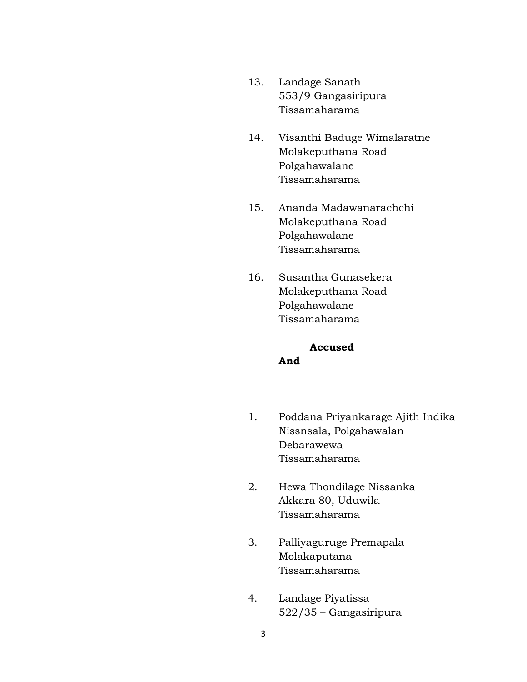- 13. Landage Sanath 553/9 Gangasiripura Tissamaharama
- 14. Visanthi Baduge Wimalaratne Molakeputhana Road Polgahawalane Tissamaharama
- 15. Ananda Madawanarachchi Molakeputhana Road Polgahawalane Tissamaharama
- 16. Susantha Gunasekera Molakeputhana Road Polgahawalane Tissamaharama

# **Accused And**

- 1. Poddana Priyankarage Ajith Indika Nissnsala, Polgahawalan Debarawewa Tissamaharama
- 2. Hewa Thondilage Nissanka Akkara 80, Uduwila Tissamaharama
- 3. Palliyaguruge Premapala Molakaputana Tissamaharama
- 4. Landage Piyatissa 522/35 – Gangasiripura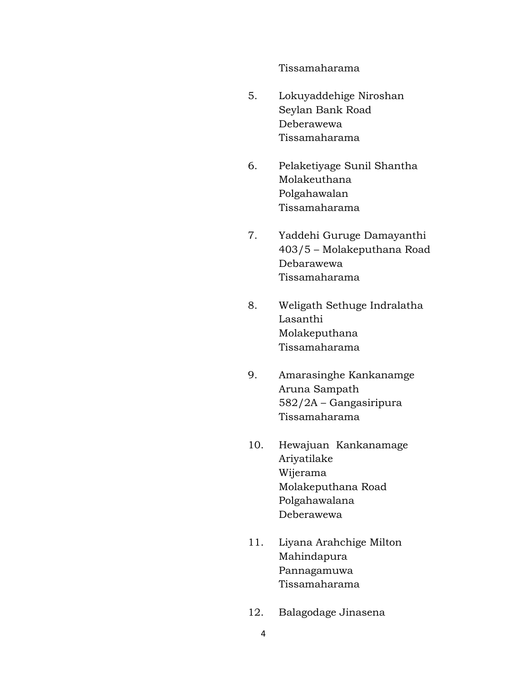Tissamaharama

- 5. Lokuyaddehige Niroshan Seylan Bank Road Deberawewa Tissamaharama
- 6. Pelaketiyage Sunil Shantha Molakeuthana Polgahawalan Tissamaharama
- 7. Yaddehi Guruge Damayanthi 403/5 – Molakeputhana Road Debarawewa Tissamaharama
- 8. Weligath Sethuge Indralatha Lasanthi Molakeputhana Tissamaharama
- 9. Amarasinghe Kankanamge Aruna Sampath 582/2A – Gangasiripura Tissamaharama
- 10. Hewajuan Kankanamage Ariyatilake Wijerama Molakeputhana Road Polgahawalana Deberawewa
- 11. Liyana Arahchige Milton Mahindapura Pannagamuwa Tissamaharama
- 12. Balagodage Jinasena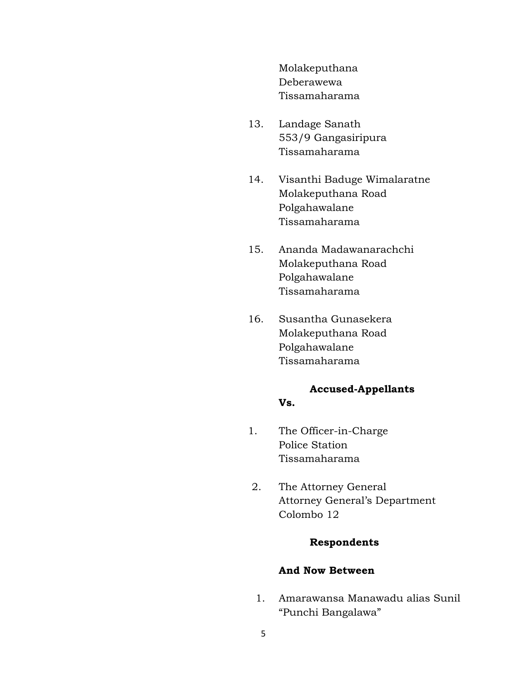Molakeputhana Deberawewa Tissamaharama

- 13. Landage Sanath 553/9 Gangasiripura Tissamaharama
- 14. Visanthi Baduge Wimalaratne Molakeputhana Road Polgahawalane Tissamaharama
- 15. Ananda Madawanarachchi Molakeputhana Road Polgahawalane Tissamaharama
- 16. Susantha Gunasekera Molakeputhana Road Polgahawalane Tissamaharama

# **Accused-Appellants**

### **Vs.**

- 1. The Officer-in-Charge Police Station Tissamaharama
- 2. The Attorney General Attorney General"s Department Colombo 12

### **Respondents**

#### **And Now Between**

1. Amarawansa Manawadu alias Sunil "Punchi Bangalawa"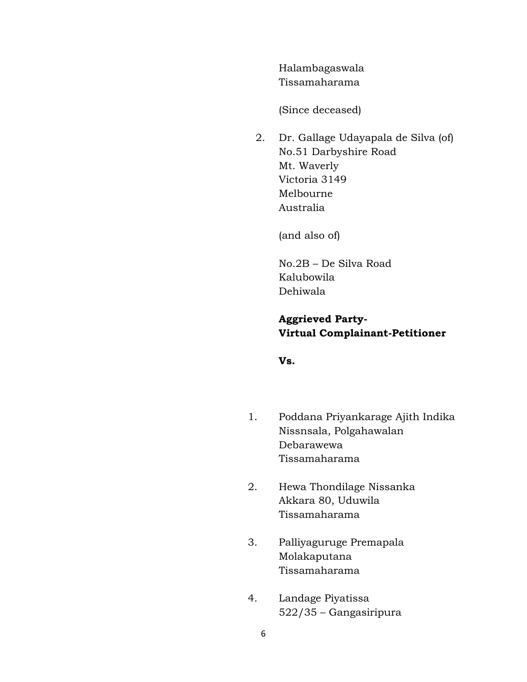Halambagaswala Tissamaharama

(Since deceased)

2. Dr. Gallage Udayapala de Silva (of) No.51 Darbyshire Road Mt. Waverly Victoria 3149 Melbourne Australia

(and also of)

No.2B – De Silva Road Kalubowila Dehiwala

# **Aggrieved Party-Virtual Complainant-Petitioner**

**Vs.**

- 1. Poddana Priyankarage Ajith Indika Nissnsala, Polgahawalan Debarawewa Tissamaharama
- 2. Hewa Thondilage Nissanka Akkara 80, Uduwila Tissamaharama
- 3. Palliyaguruge Premapala Molakaputana Tissamaharama
- 4. Landage Piyatissa 522/35 – Gangasiripura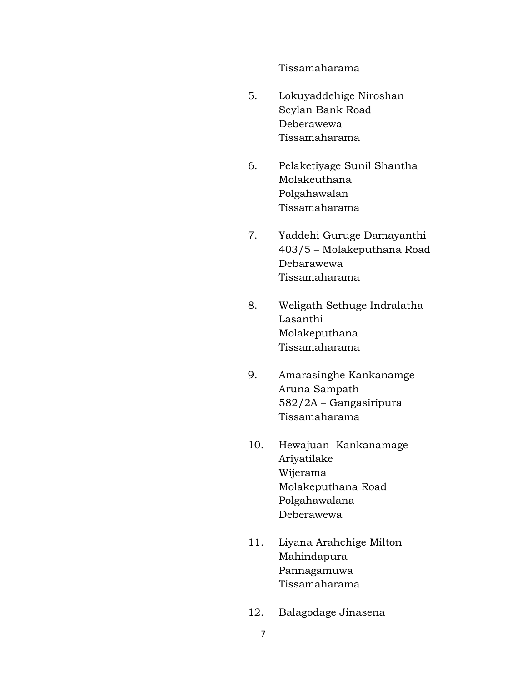Tissamaharama

- 5. Lokuyaddehige Niroshan Seylan Bank Road Deberawewa Tissamaharama
- 6. Pelaketiyage Sunil Shantha Molakeuthana Polgahawalan Tissamaharama
- 7. Yaddehi Guruge Damayanthi 403/5 – Molakeputhana Road Debarawewa Tissamaharama
- 8. Weligath Sethuge Indralatha Lasanthi Molakeputhana Tissamaharama
- 9. Amarasinghe Kankanamge Aruna Sampath 582/2A – Gangasiripura Tissamaharama
- 10. Hewajuan Kankanamage Ariyatilake Wijerama Molakeputhana Road Polgahawalana Deberawewa
- 11. Liyana Arahchige Milton Mahindapura Pannagamuwa Tissamaharama
- 12. Balagodage Jinasena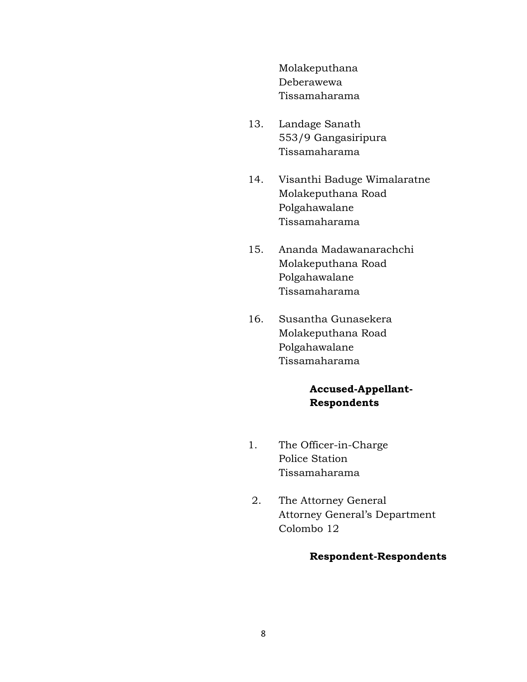Molakeputhana Deberawewa Tissamaharama

- 13. Landage Sanath 553/9 Gangasiripura Tissamaharama
- 14. Visanthi Baduge Wimalaratne Molakeputhana Road Polgahawalane Tissamaharama
- 15. Ananda Madawanarachchi Molakeputhana Road Polgahawalane Tissamaharama
- 16. Susantha Gunasekera Molakeputhana Road Polgahawalane Tissamaharama

# **Accused-Appellant-Respondents**

- 1. The Officer-in-Charge Police Station Tissamaharama
- 2. The Attorney General Attorney General"s Department Colombo 12

### **Respondent-Respondents**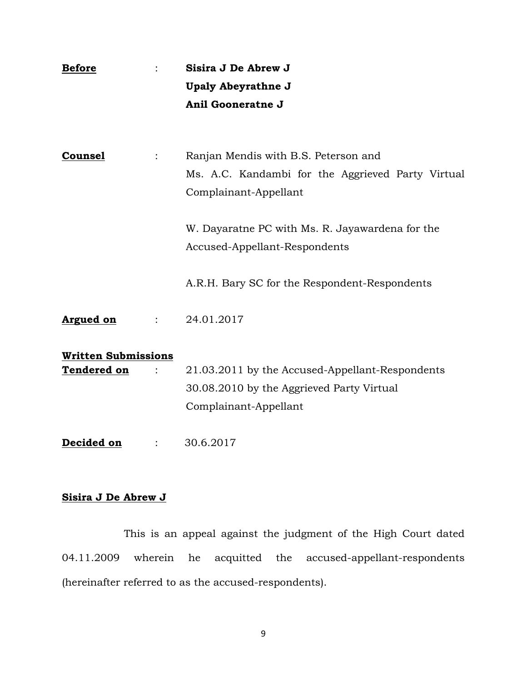| <b>Before</b>                                    | Sisira J De Abrew J<br><b>Upaly Abeyrathne J</b>                                                                      |
|--------------------------------------------------|-----------------------------------------------------------------------------------------------------------------------|
|                                                  | Anil Gooneratne J                                                                                                     |
|                                                  |                                                                                                                       |
| <b>Counsel</b>                                   | Ranjan Mendis with B.S. Peterson and<br>Ms. A.C. Kandambi for the Aggrieved Party Virtual<br>Complainant-Appellant    |
|                                                  | W. Dayaratne PC with Ms. R. Jayawardena for the<br>Accused-Appellant-Respondents                                      |
|                                                  | A.R.H. Bary SC for the Respondent-Respondents                                                                         |
| <b>Argued on</b>                                 | 24.01.2017                                                                                                            |
| <b>Written Submissions</b><br><b>Tendered on</b> | 21.03.2011 by the Accused-Appellant-Respondents<br>30.08.2010 by the Aggrieved Party Virtual<br>Complainant-Appellant |
| Decided on                                       | 30.6.2017                                                                                                             |

# **Sisira J De Abrew J**

This is an appeal against the judgment of the High Court dated 04.11.2009 wherein he acquitted the accused-appellant-respondents (hereinafter referred to as the accused-respondents).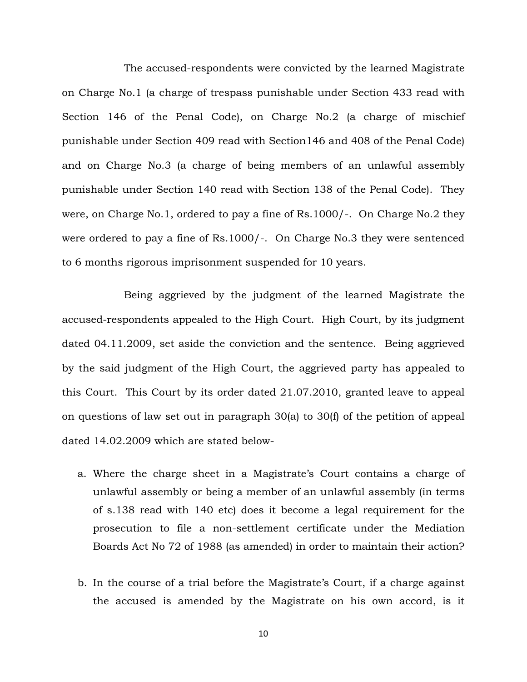The accused-respondents were convicted by the learned Magistrate on Charge No.1 (a charge of trespass punishable under Section 433 read with Section 146 of the Penal Code), on Charge No.2 (a charge of mischief punishable under Section 409 read with Section146 and 408 of the Penal Code) and on Charge No.3 (a charge of being members of an unlawful assembly punishable under Section 140 read with Section 138 of the Penal Code). They were, on Charge No.1, ordered to pay a fine of Rs.1000/-. On Charge No.2 they were ordered to pay a fine of Rs.1000/-. On Charge No.3 they were sentenced to 6 months rigorous imprisonment suspended for 10 years.

Being aggrieved by the judgment of the learned Magistrate the accused-respondents appealed to the High Court. High Court, by its judgment dated 04.11.2009, set aside the conviction and the sentence. Being aggrieved by the said judgment of the High Court, the aggrieved party has appealed to this Court. This Court by its order dated 21.07.2010, granted leave to appeal on questions of law set out in paragraph 30(a) to 30(f) of the petition of appeal dated 14.02.2009 which are stated below-

- a. Where the charge sheet in a Magistrate"s Court contains a charge of unlawful assembly or being a member of an unlawful assembly (in terms of s.138 read with 140 etc) does it become a legal requirement for the prosecution to file a non-settlement certificate under the Mediation Boards Act No 72 of 1988 (as amended) in order to maintain their action?
- b. In the course of a trial before the Magistrate's Court, if a charge against the accused is amended by the Magistrate on his own accord, is it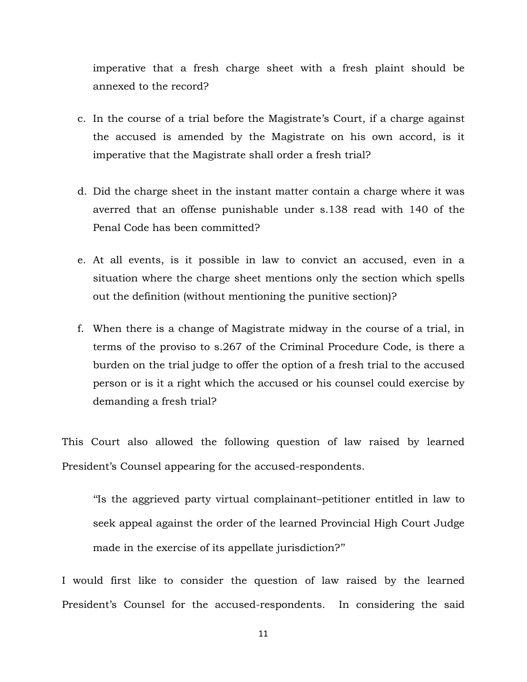imperative that a fresh charge sheet with a fresh plaint should be annexed to the record?

- c. In the course of a trial before the Magistrate"s Court, if a charge against the accused is amended by the Magistrate on his own accord, is it imperative that the Magistrate shall order a fresh trial?
- d. Did the charge sheet in the instant matter contain a charge where it was averred that an offense punishable under s.138 read with 140 of the Penal Code has been committed?
- e. At all events, is it possible in law to convict an accused, even in a situation where the charge sheet mentions only the section which spells out the definition (without mentioning the punitive section)?
- f. When there is a change of Magistrate midway in the course of a trial, in terms of the proviso to s.267 of the Criminal Procedure Code, is there a burden on the trial judge to offer the option of a fresh trial to the accused person or is it a right which the accused or his counsel could exercise by demanding a fresh trial?

This Court also allowed the following question of law raised by learned President's Counsel appearing for the accused-respondents.

""Is the aggrieved party virtual complainant–petitioner entitled in law to seek appeal against the order of the learned Provincial High Court Judge made in the exercise of its appellate jurisdiction?"

I would first like to consider the question of law raised by the learned President's Counsel for the accused-respondents. In considering the said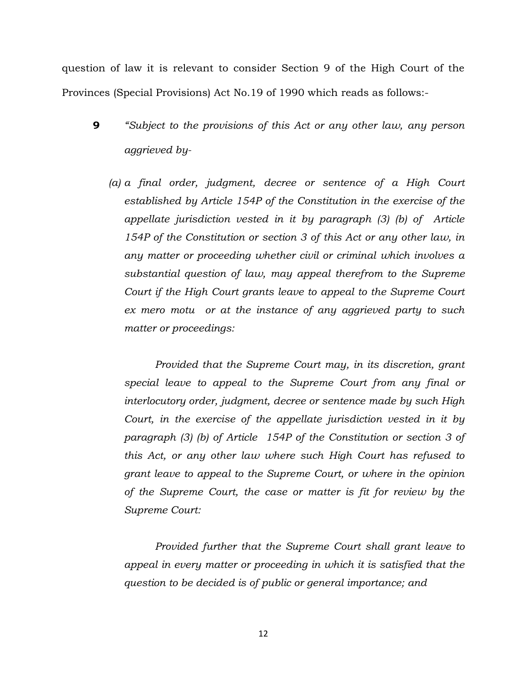question of law it is relevant to consider Section 9 of the High Court of the Provinces (Special Provisions) Act No.19 of 1990 which reads as follows:-

- **9** *"Subject to the provisions of this Act or any other law, any person aggrieved by-*
	- *(a) a final order, judgment, decree or sentence of a High Court established by Article 154P of the Constitution in the exercise of the appellate jurisdiction vested in it by paragraph (3) (b) of Article 154P of the Constitution or section 3 of this Act or any other law, in any matter or proceeding whether civil or criminal which involves a substantial question of law, may appeal therefrom to the Supreme Court if the High Court grants leave to appeal to the Supreme Court ex mero motu or at the instance of any aggrieved party to such matter or proceedings:*

*Provided that the Supreme Court may, in its discretion, grant special leave to appeal to the Supreme Court from any final or interlocutory order, judgment, decree or sentence made by such High Court, in the exercise of the appellate jurisdiction vested in it by paragraph (3) (b) of Article 154P of the Constitution or section 3 of this Act, or any other law where such High Court has refused to grant leave to appeal to the Supreme Court, or where in the opinion of the Supreme Court, the case or matter is fit for review by the Supreme Court:*

*Provided further that the Supreme Court shall grant leave to appeal in every matter or proceeding in which it is satisfied that the question to be decided is of public or general importance; and*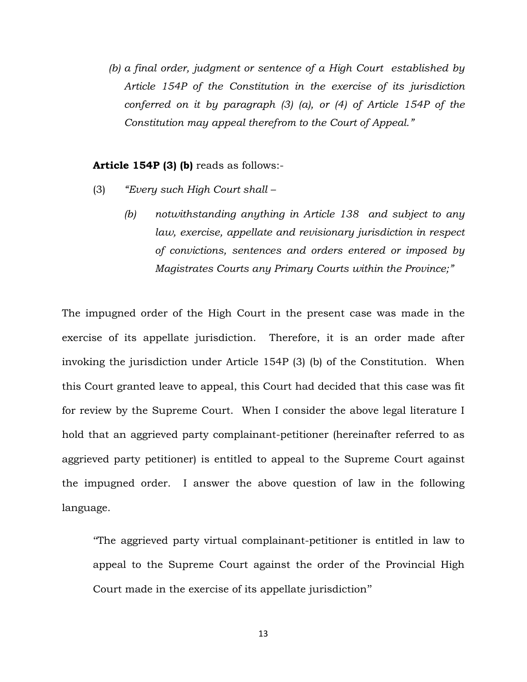*(b) a final order, judgment or sentence of a High Court established by Article 154P of the Constitution in the exercise of its jurisdiction conferred on it by paragraph (3) (a), or (4) of Article 154P of the Constitution may appeal therefrom to the Court of Appeal."*

#### **Article 154P (3) (b)** reads as follows:-

- (3) *"Every such High Court shall –*
	- *(b) notwithstanding anything in Article 138 and subject to any law, exercise, appellate and revisionary jurisdiction in respect of convictions, sentences and orders entered or imposed by Magistrates Courts any Primary Courts within the Province;"*

The impugned order of the High Court in the present case was made in the exercise of its appellate jurisdiction. Therefore, it is an order made after invoking the jurisdiction under Article 154P (3) (b) of the Constitution. When this Court granted leave to appeal, this Court had decided that this case was fit for review by the Supreme Court. When I consider the above legal literature I hold that an aggrieved party complainant-petitioner (hereinafter referred to as aggrieved party petitioner) is entitled to appeal to the Supreme Court against the impugned order. I answer the above question of law in the following language.

""The aggrieved party virtual complainant-petitioner is entitled in law to appeal to the Supreme Court against the order of the Provincial High Court made in the exercise of its appellate jurisdiction""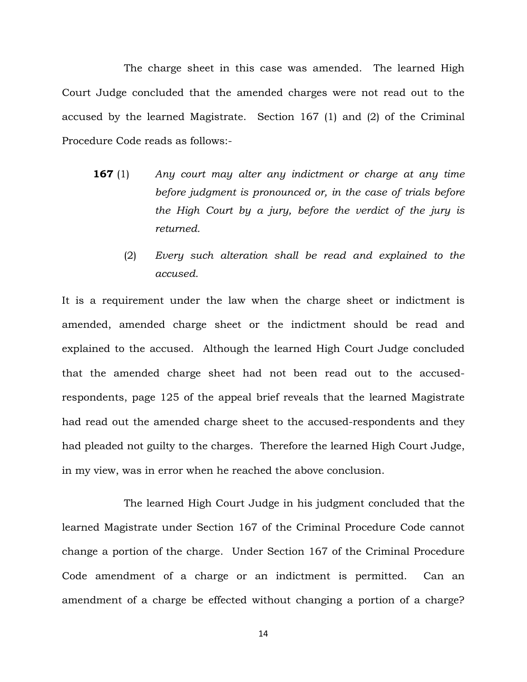The charge sheet in this case was amended. The learned High Court Judge concluded that the amended charges were not read out to the accused by the learned Magistrate. Section 167 (1) and (2) of the Criminal Procedure Code reads as follows:-

- **167** (1) *Any court may alter any indictment or charge at any time before judgment is pronounced or, in the case of trials before the High Court by a jury, before the verdict of the jury is returned.* 
	- (2) *Every such alteration shall be read and explained to the accused.*

It is a requirement under the law when the charge sheet or indictment is amended, amended charge sheet or the indictment should be read and explained to the accused. Although the learned High Court Judge concluded that the amended charge sheet had not been read out to the accusedrespondents, page 125 of the appeal brief reveals that the learned Magistrate had read out the amended charge sheet to the accused-respondents and they had pleaded not guilty to the charges. Therefore the learned High Court Judge, in my view, was in error when he reached the above conclusion.

The learned High Court Judge in his judgment concluded that the learned Magistrate under Section 167 of the Criminal Procedure Code cannot change a portion of the charge. Under Section 167 of the Criminal Procedure Code amendment of a charge or an indictment is permitted. Can an amendment of a charge be effected without changing a portion of a charge?

14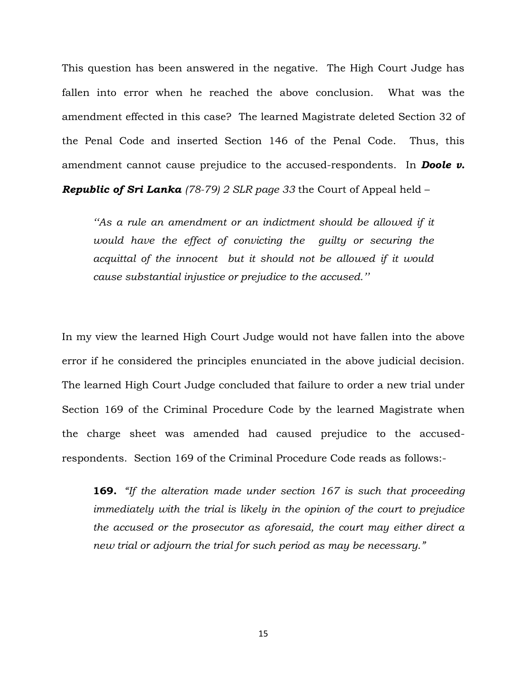This question has been answered in the negative. The High Court Judge has fallen into error when he reached the above conclusion. What was the amendment effected in this case? The learned Magistrate deleted Section 32 of the Penal Code and inserted Section 146 of the Penal Code. Thus, this amendment cannot cause prejudice to the accused-respondents. In *Doole v.* 

*Republic of Sri Lanka (78-79) 2 SLR page 33* the Court of Appeal held –

*""As a rule an amendment or an indictment should be allowed if it would have the effect of convicting the guilty or securing the acquittal of the innocent but it should not be allowed if it would cause substantial injustice or prejudice to the accused.""*

In my view the learned High Court Judge would not have fallen into the above error if he considered the principles enunciated in the above judicial decision. The learned High Court Judge concluded that failure to order a new trial under Section 169 of the Criminal Procedure Code by the learned Magistrate when the charge sheet was amended had caused prejudice to the accusedrespondents. Section 169 of the Criminal Procedure Code reads as follows:-

**169.** *"If the alteration made under section 167 is such that proceeding immediately with the trial is likely in the opinion of the court to prejudice the accused or the prosecutor as aforesaid, the court may either direct a new trial or adjourn the trial for such period as may be necessary."*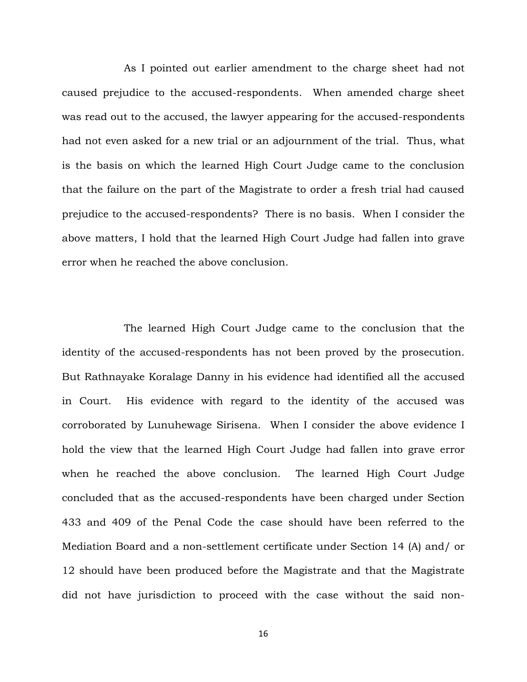As I pointed out earlier amendment to the charge sheet had not caused prejudice to the accused-respondents. When amended charge sheet was read out to the accused, the lawyer appearing for the accused-respondents had not even asked for a new trial or an adjournment of the trial. Thus, what is the basis on which the learned High Court Judge came to the conclusion that the failure on the part of the Magistrate to order a fresh trial had caused prejudice to the accused-respondents? There is no basis. When I consider the above matters, I hold that the learned High Court Judge had fallen into grave error when he reached the above conclusion.

The learned High Court Judge came to the conclusion that the identity of the accused-respondents has not been proved by the prosecution. But Rathnayake Koralage Danny in his evidence had identified all the accused in Court. His evidence with regard to the identity of the accused was corroborated by Lunuhewage Sirisena. When I consider the above evidence I hold the view that the learned High Court Judge had fallen into grave error when he reached the above conclusion. The learned High Court Judge concluded that as the accused-respondents have been charged under Section 433 and 409 of the Penal Code the case should have been referred to the Mediation Board and a non-settlement certificate under Section 14 (A) and/ or 12 should have been produced before the Magistrate and that the Magistrate did not have jurisdiction to proceed with the case without the said non-

16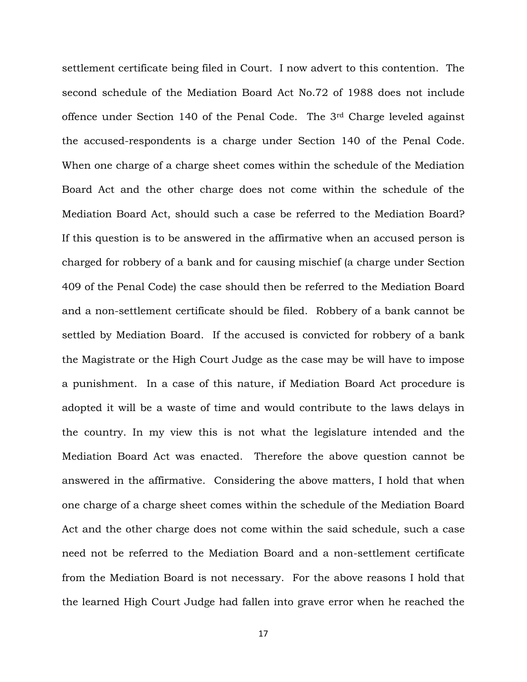settlement certificate being filed in Court. I now advert to this contention. The second schedule of the Mediation Board Act No.72 of 1988 does not include offence under Section 140 of the Penal Code. The 3rd Charge leveled against the accused-respondents is a charge under Section 140 of the Penal Code. When one charge of a charge sheet comes within the schedule of the Mediation Board Act and the other charge does not come within the schedule of the Mediation Board Act, should such a case be referred to the Mediation Board? If this question is to be answered in the affirmative when an accused person is charged for robbery of a bank and for causing mischief (a charge under Section 409 of the Penal Code) the case should then be referred to the Mediation Board and a non-settlement certificate should be filed. Robbery of a bank cannot be settled by Mediation Board. If the accused is convicted for robbery of a bank the Magistrate or the High Court Judge as the case may be will have to impose a punishment. In a case of this nature, if Mediation Board Act procedure is adopted it will be a waste of time and would contribute to the laws delays in the country. In my view this is not what the legislature intended and the Mediation Board Act was enacted. Therefore the above question cannot be answered in the affirmative. Considering the above matters, I hold that when one charge of a charge sheet comes within the schedule of the Mediation Board Act and the other charge does not come within the said schedule, such a case need not be referred to the Mediation Board and a non-settlement certificate from the Mediation Board is not necessary. For the above reasons I hold that the learned High Court Judge had fallen into grave error when he reached the